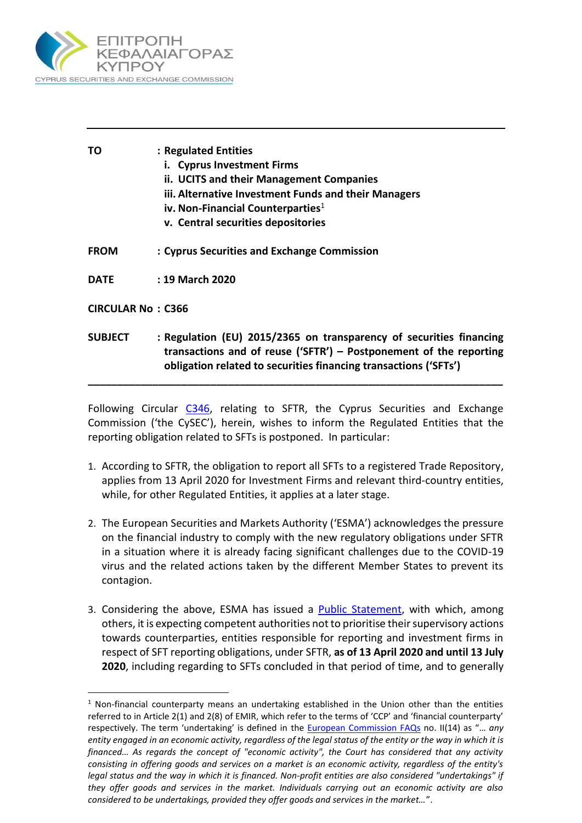

 $\overline{a}$ 

| ΤO                       | : Regulated Entities<br>i. Cyprus Investment Firms<br>ii. UCITS and their Management Companies<br>iii. Alternative Investment Funds and their Managers<br>iv. Non-Financial Counterparties <sup>1</sup><br>v. Central securities depositories |
|--------------------------|-----------------------------------------------------------------------------------------------------------------------------------------------------------------------------------------------------------------------------------------------|
| <b>FROM</b>              | : Cyprus Securities and Exchange Commission                                                                                                                                                                                                   |
| <b>DATE</b>              | : 19 March 2020                                                                                                                                                                                                                               |
| <b>CIRCULAR No: C366</b> |                                                                                                                                                                                                                                               |
| <b>SUBJECT</b>           | : Regulation (EU) 2015/2365 on transparency of securities financing<br>transactions and of reuse ('SFTR') $-$ Postponement of the reporting<br>obligation related to securities financing transactions ('SFTs')                               |

Following Circular [C346,](https://www.cysec.gov.cy/CMSPages/GetFile.aspx?guid=3c7aabfc-4fbf-4ec4-8624-09be3a6c8881) relating to SFTR, the Cyprus Securities and Exchange Commission ('the CySEC'), herein, wishes to inform the Regulated Entities that the reporting obligation related to SFTs is postponed. In particular:

**\_\_\_\_\_\_\_\_\_\_\_\_\_\_\_\_\_\_\_\_\_\_\_\_\_\_\_\_\_\_\_\_\_\_\_\_\_\_\_\_\_\_\_\_\_\_\_\_\_\_\_\_\_\_\_\_\_\_\_\_\_\_\_\_\_\_\_\_\_\_\_**

- 1. According to SFTR, the obligation to report all SFTs to a registered Trade Repository, applies from 13 April 2020 for Investment Firms and relevant third-country entities, while, for other Regulated Entities, it applies at a later stage.
- 2. The European Securities and Markets Authority ('ESMA') acknowledges the pressure on the financial industry to comply with the new regulatory obligations under SFTR in a situation where it is already facing significant challenges due to the COVID-19 virus and the related actions taken by the different Member States to prevent its contagion.
- 3. Considering the above, ESMA has issued a [Public Statement,](https://www.esma.europa.eu/sites/default/files/library/esma80-191-995_public_statement.pdf) with which, among others, it is expecting competent authorities not to prioritise their supervisory actions towards counterparties, entities responsible for reporting and investment firms in respect of SFT reporting obligations, under SFTR, **as of 13 April 2020 and until 13 July 2020**, including regarding to SFTs concluded in that period of time, and to generally

 $1$  Non-financial counterparty means an undertaking established in the Union other than the entities referred to in Article 2(1) and 2(8) of EMIR, which refer to the terms of 'CCP' and 'financial counterparty' respectively. The term 'undertaking' is defined in the [European Commission FAQs](https://www.cysec.gov.cy/CMSPages/GetFile.aspx?guid=055592ec-b287-44bf-be93-0ffc07a30a89) no. II(14) as "… *any entity engaged in an economic activity, regardless of the legal status of the entity or the way in which it is financed… As regards the concept of "economic activity", the Court has considered that any activity consisting in offering goods and services on a market is an economic activity, regardless of the entity's legal status and the way in which it is financed. Non-profit entities are also considered "undertakings" if they offer goods and services in the market. Individuals carrying out an economic activity are also considered to be undertakings, provided they offer goods and services in the market…*".